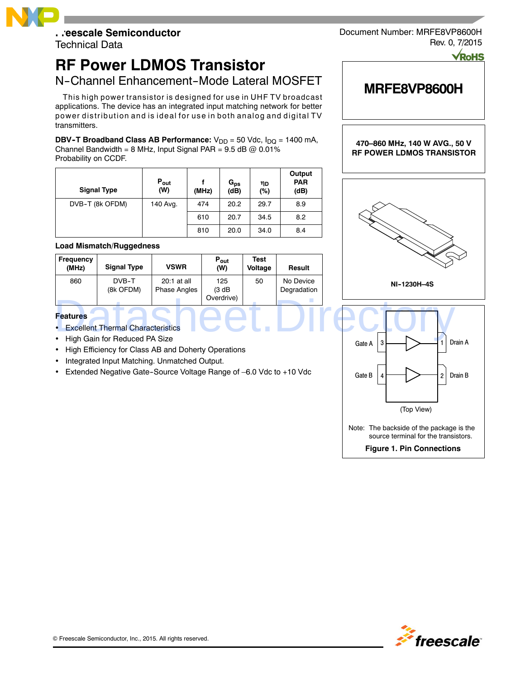## **Freescale Semiconductor**

Technical Data

# **RF Power LDMOS Transistor**

## N-Channel Enhancement-Mode Lateral MOSFET

This high power transistor is designed for use in UHF TV broadcast applications. The device has an integrated input matching network for better power distribution and is ideal for use in both analog and digital TV transmitters.

**DBV-T Broadband Class AB Performance:** V<sub>DD</sub> = 50 Vdc, I<sub>DQ</sub> = 1400 mA, Channel Bandwidth = 8 MHz, Input Signal PAR =  $9.5$  dB  $@$  0.01% Probability on CCDF.

| <b>Signal Type</b> | $P_{\text{out}}$<br>(W) | (MHz) | $G_{ps}$<br>(dB) | ηD<br>(%) | Output<br><b>PAR</b><br>(dB) |
|--------------------|-------------------------|-------|------------------|-----------|------------------------------|
| DVB-T (8k OFDM)    | 140 Avg.                | 474   | 20.2             | 29.7      | 8.9                          |
|                    |                         | 610   | 20.7             | 34.5      | 8.2                          |
|                    |                         | 810   | 20.0             | 34.0      | 8.4                          |

### **Load Mismatch/Ruggedness**

| Frequency<br>(MHz) | <b>Signal Type</b> | <b>VSWR</b>                        | $P_{\text{out}}$<br>(W)     | Test<br>Voltage | Result                   |
|--------------------|--------------------|------------------------------------|-----------------------------|-----------------|--------------------------|
| 860                | DVB-T<br>(8k OFDM) | 20:1 at all<br><b>Phase Angles</b> | 125<br>(3 dB)<br>Overdrive) | 50              | No Device<br>Degradation |

### **Features**

- Excellent Thermal Characteristics
- High Gain for Reduced PA Size
- High Efficiency for Class AB and Doherty Operations
- Integrated Input Matching. Unmatched Output.
- Extended Negative Gate--Source Voltage Range of –6.0 Vdc to +10 Vdc

Document Number: MRFE8VP8600H Rev. 0, 7/2015

**MRFE8VP8600H**

**470–860 MHz, 140 W AVG., 50 V**



**Figure 1. Pin Connections**

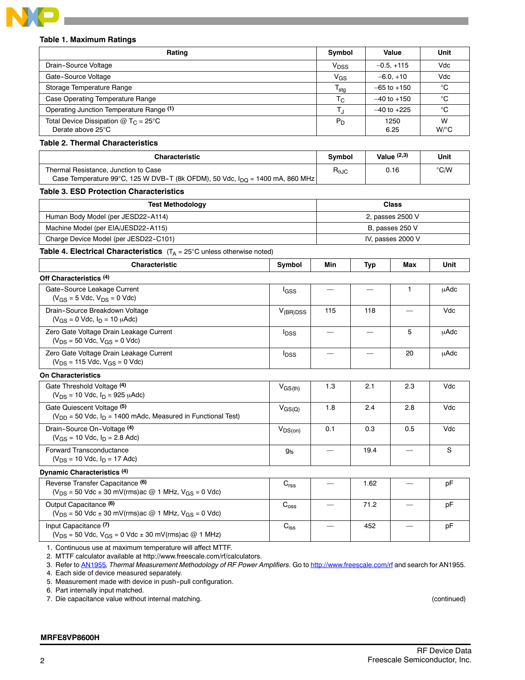

### **Table 1. Maximum Ratings**

| парте т. махпични наштуз                                                                                                  |                    |                        |                          |                          |                |
|---------------------------------------------------------------------------------------------------------------------------|--------------------|------------------------|--------------------------|--------------------------|----------------|
| Rating                                                                                                                    |                    | Symbol                 |                          | Value                    | Unit           |
| Drain-Source Voltage                                                                                                      |                    | V <sub>DSS</sub>       |                          | $-0.5, +115$             | Vdc            |
| Gate-Source Voltage                                                                                                       |                    | $V_{GS}$               |                          | $-6.0, +10$              | Vdc            |
| Storage Temperature Range                                                                                                 |                    | $T_{\text{stg}}$       |                          | $-65$ to $+150$          | °C             |
| Case Operating Temperature Range                                                                                          |                    | $T_{\rm C}$            |                          | –40 to +150              | °C             |
| Operating Junction Temperature Range (1)                                                                                  |                    |                        |                          | $-40$ to $+225$          | °C             |
| Total Device Dissipation $@T_C = 25°C$<br>Derate above 25°C                                                               |                    | $P_D$                  | 1250<br>6.25             |                          | W<br>$W$ /°C   |
| <b>Table 2. Thermal Characteristics</b>                                                                                   |                    |                        |                          |                          |                |
| <b>Characteristic</b>                                                                                                     |                    | Symbol                 |                          | Value $(2,3)$            | Unit           |
| Thermal Resistance, Junction to Case<br>Case Temperature 99°C, 125 W DVB-T (8k OFDM), 50 Vdc, $I_{DQ}$ = 1400 mA, 860 MHz |                    | $R_{\theta \text{JC}}$ |                          | 0.16                     | $^{\circ}$ C/W |
| Table 3. ESD Protection Characteristics                                                                                   |                    |                        |                          |                          |                |
| <b>Test Methodology</b>                                                                                                   |                    |                        |                          | <b>Class</b>             |                |
| Human Body Model (per JESD22-A114)                                                                                        |                    |                        |                          | 2, passes 2500 V         |                |
| Machine Model (per EIA/JESD22-A115)                                                                                       | B, passes 250 V    |                        |                          |                          |                |
| Charge Device Model (per JESD22-C101)                                                                                     | IV, passes 2000 V  |                        |                          |                          |                |
| <b>Table 4. Electrical Characteristics</b> $(T_A = 25^\circ \text{C}$ unless otherwise noted)                             |                    |                        |                          |                          |                |
| <b>Characteristic</b>                                                                                                     | Symbol             | Min                    | <b>Typ</b>               | Max                      | Unit           |
| Off Characteristics (4)                                                                                                   |                    |                        |                          |                          |                |
| Gate-Source Leakage Current<br>$(V_{GS} = 5$ Vdc, $V_{DS} = 0$ Vdc)                                                       | lgss               |                        |                          | 1                        | μAdc           |
| Drain-Source Breakdown Voltage<br>$(V_{GS} = 0$ Vdc, $I_D = 10$ $\mu$ Adc)                                                | $V_{(BR)DSS}$      | 115                    | 118                      | $\overline{\phantom{0}}$ | Vdc            |
| Zero Gate Voltage Drain Leakage Current<br>$(V_{DS} = 50$ Vdc, $V_{GS} = 0$ Vdc)                                          | $I_{DSS}$          |                        |                          | 5                        | μAdc           |
| Zero Gate Voltage Drain Leakage Current<br>$(V_{DS} = 115$ Vdc, $V_{GS} = 0$ Vdc)                                         | $I_{\text{DSS}}$   |                        | $\overline{\phantom{0}}$ | 20                       | <b>µAdc</b>    |
| <b>On Characteristics</b>                                                                                                 |                    |                        |                          |                          |                |
| Gate Threshold Voltage (4)<br>$(V_{DS} = 10$ Vdc, $I_D = 925$ $\mu$ Adc)                                                  | $V_{GS(th)}$       | 1.3                    | 2.1                      | 2.3                      | Vdc            |
| Gate Quiescent Voltage (5)<br>$(V_{DD} = 50$ Vdc, $I_D = 1400$ mAdc, Measured in Functional Test)                         | $V_{GS(Q)}$        | 1.8                    | 2.4                      | 2.8                      | Vdc            |
| Drain-Source On-Voltage (4)<br>$(V_{GS} = 10$ Vdc, $I_D = 2.8$ Adc)                                                       | $V_{DS(on)}$       | 0.1                    | 0.3                      | 0.5                      | Vdc            |
| Forward Transconductance<br>$(V_{DS} = 10$ Vdc, $I_D = 17$ Adc)                                                           | $g_{fs}$           |                        | 19.4                     |                          | ${\mathbb S}$  |
| Dynamic Characteristics (4)                                                                                               |                    |                        |                          |                          |                |
| Reverse Transfer Capacitance (6)<br>$(V_{DS} = 50$ Vdc $\pm$ 30 mV(rms)ac @ 1 MHz, V <sub>GS</sub> = 0 Vdc)               | $\mathrm{C_{rss}}$ |                        | 1.62                     |                          | pF             |
| Output Capacitance <sup>(6)</sup><br>( $V_{DS}$ = 50 Vdc ± 30 mV(rms)ac @ 1 MHz, $V_{GS}$ = 0 Vdc)                        | $\mathrm{C_{oss}}$ |                        | 71.2                     |                          | pF             |
| Input Capacitance (7)<br>( $V_{DS}$ = 50 Vdc, $V_{GS}$ = 0 Vdc $\pm$ 30 mV(rms)ac @ 1 MHz)                                | $C_{iss}$          |                        | 452                      |                          | pF             |

1. Continuous use at maximum temperature will affect MTTF.

2. MTTF calculator available at http://www.freescale.com/rf/calculators.

3. Refer to AN1955*, Thermal Measurement Methodology of RF Power Amplifiers.* Go to http://www.freescale.com/rf and search for AN1955.

4. Each side of device measured separately.

5. Measurement made with device in push--pull configuration.

6. Part internally input matched.

7. Die capacitance value without internal matching. (continued)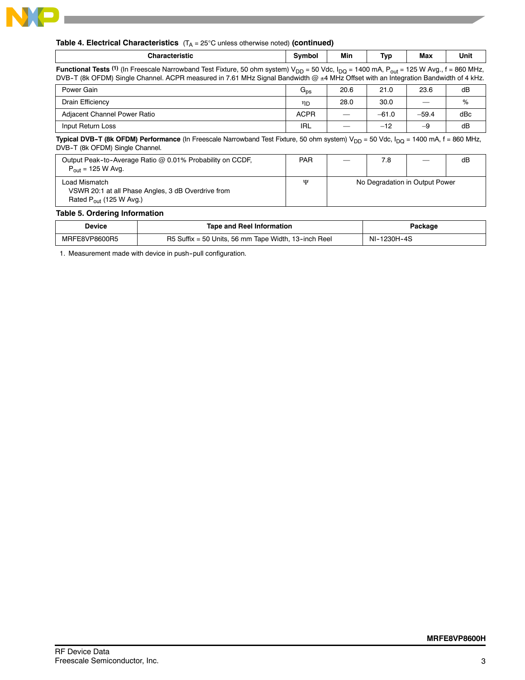

**Contract** 

|  | <b>Table 4. Electrical Characteristics</b> $(T_A = 25^{\circ}C$ unless otherwise noted) (continued) |
|--|-----------------------------------------------------------------------------------------------------|
|--|-----------------------------------------------------------------------------------------------------|

| <b>Characteristic</b>                                                                                                                                                                                                                                                                               | Symbol          | Min  | Typ     | Max                            | Unit |
|-----------------------------------------------------------------------------------------------------------------------------------------------------------------------------------------------------------------------------------------------------------------------------------------------------|-----------------|------|---------|--------------------------------|------|
| <b>Functional Tests (1)</b> (In Freescale Narrowband Test Fixture, 50 ohm system) $V_{DD}$ = 50 Vdc, $I_{DQ}$ = 1400 mA, $P_{out}$ = 125 W Avg., f = 860 MHz,<br>DVB-T (8k OFDM) Single Channel. ACPR measured in 7.61 MHz Signal Bandwidth @ ±4 MHz Offset with an Integration Bandwidth of 4 kHz. |                 |      |         |                                |      |
| Power Gain                                                                                                                                                                                                                                                                                          | $G_{\text{ps}}$ | 20.6 | 21.0    | 23.6                           | dB   |
| Drain Efficiency                                                                                                                                                                                                                                                                                    | ηD              | 28.0 | 30.0    |                                | %    |
| Adjacent Channel Power Ratio                                                                                                                                                                                                                                                                        | <b>ACPR</b>     |      | $-61.0$ | $-59.4$                        | dBc  |
| Input Return Loss                                                                                                                                                                                                                                                                                   | <b>IRL</b>      |      | $-12$   | $-9$                           | dB   |
| <b>Typical DVB-T (8k OFDM) Performance</b> (In Freescale Narrowband Test Fixture, 50 ohm system) $V_{DD}$ = 50 Vdc, $I_{DD}$ = 1400 mA, f = 860 MHz,<br>DVB-T (8k OFDM) Single Channel.                                                                                                             |                 |      |         |                                |      |
| Output Peak-to-Average Ratio @ 0.01% Probability on CCDF,<br>$P_{\text{out}} = 125 \text{ W}$ Avg.                                                                                                                                                                                                  | <b>PAR</b>      |      | 7.8     |                                | dB   |
| Load Mismatch<br>VSWR 20:1 at all Phase Angles, 3 dB Overdrive from<br>Rated $P_{\text{out}}$ (125 W Avg.)                                                                                                                                                                                          | Ψ               |      |         | No Degradation in Output Power |      |
| <b>Table 5. Ordering Information</b>                                                                                                                                                                                                                                                                |                 |      |         |                                |      |

| Device        | Tape and Reel Information                            | Packaɑe     |
|---------------|------------------------------------------------------|-------------|
| MRFE8VP8600R5 | R5 Suffix = 50 Units, 56 mm Tape Width, 13-inch Reel | NI-1230H-4S |

1. Measurement made with device in push-pull configuration.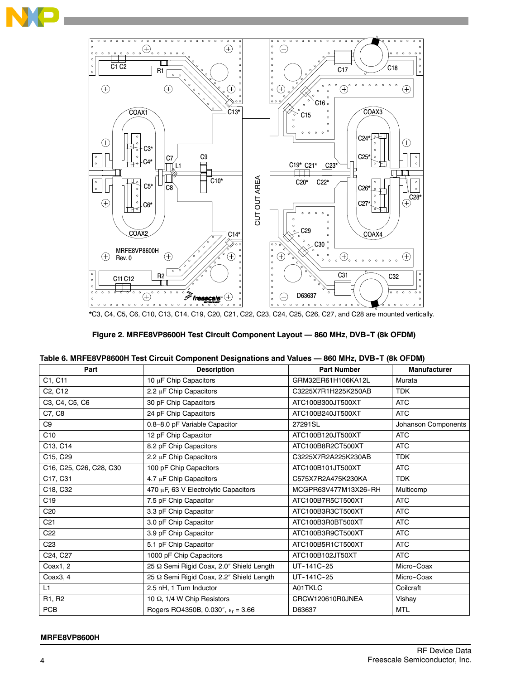



\*C3, C4, C5, C6, C10, C13, C14, C19, C20, C21, C22, C23, C24, C25, C26, C27, and C28 are mounted vertically.

| Figure 2. MRFE8VP8600H Test Circuit Component Layout - 860 MHz, DVB-T (8k OFDM) |
|---------------------------------------------------------------------------------|
|                                                                                 |

| Table 6. MRFE8VP8600H Test Circuit Component Designations and Values - 860 MHz, DVB-T (8k OFDM) |  |  |  |
|-------------------------------------------------------------------------------------------------|--|--|--|
|                                                                                                 |  |  |  |

| Part                             | <b>Description</b>                          | <b>Part Number</b>   | <b>Manufacturer</b> |
|----------------------------------|---------------------------------------------|----------------------|---------------------|
| C1, C11                          | 10 µF Chip Capacitors                       | GRM32ER61H106KA12L   | Murata              |
| C <sub>2</sub> , C <sub>12</sub> | 2.2 µF Chip Capacitors                      | C3225X7R1H225K250AB  | <b>TDK</b>          |
| C3, C4, C5, C6                   | 30 pF Chip Capacitors                       | ATC100B300JT500XT    | <b>ATC</b>          |
| C7, C8                           | 24 pF Chip Capacitors                       | ATC100B240JT500XT    | <b>ATC</b>          |
| C <sub>9</sub>                   | 0.8-8.0 pF Variable Capacitor               | 27291SL              | Johanson Components |
| C10                              | 12 pF Chip Capacitor                        | ATC100B120JT500XT    | <b>ATC</b>          |
| C13, C14                         | 8.2 pF Chip Capacitors                      | ATC100B8R2CT500XT    | <b>ATC</b>          |
| C15, C29                         | 2.2 µF Chip Capacitors                      | C3225X7R2A225K230AB  | <b>TDK</b>          |
| C16, C25, C26, C28, C30          | 100 pF Chip Capacitors                      | ATC100B101JT500XT    | <b>ATC</b>          |
| C17, C31                         | 4.7 µF Chip Capacitors                      | C575X7R2A475K230KA   | <b>TDK</b>          |
| C18, C32                         | 470 µF, 63 V Electrolytic Capacitors        | MCGPR63V477M13X26-RH | Multicomp           |
| C <sub>19</sub>                  | 7.5 pF Chip Capacitor                       | ATC100B7R5CT500XT    | <b>ATC</b>          |
| C <sub>20</sub>                  | 3.3 pF Chip Capacitor                       | ATC100B3R3CT500XT    | <b>ATC</b>          |
| C <sub>21</sub>                  | 3.0 pF Chip Capacitor                       | ATC100B3R0BT500XT    | <b>ATC</b>          |
| C <sub>22</sub>                  | 3.9 pF Chip Capacitor                       | ATC100B3R9CT500XT    | <b>ATC</b>          |
| C <sub>23</sub>                  | 5.1 pF Chip Capacitor                       | ATC100B5R1CT500XT    | <b>ATC</b>          |
| C24, C27                         | 1000 pF Chip Capacitors                     | ATC100B102JT50XT     | <b>ATC</b>          |
| Coax1, 2                         | 25 Ω Semi Rigid Coax, 2.0" Shield Length    | UT-141C-25           | Micro-Coax          |
| Coax3, 4                         | 25 Q Semi Rigid Coax, 2.2" Shield Length    | UT-141C-25           | Micro-Coax          |
| L1                               | 2.5 nH, 1 Turn Inductor                     | A01TKLC              | Coilcraft           |
| R1, R2                           | 10 Ω, 1/4 W Chip Resistors                  | CRCW120610R0JNEA     | Vishay              |
| <b>PCB</b>                       | Rogers RO4350B, 0.030", $\epsilon_r = 3.66$ | D63637               | <b>MTL</b>          |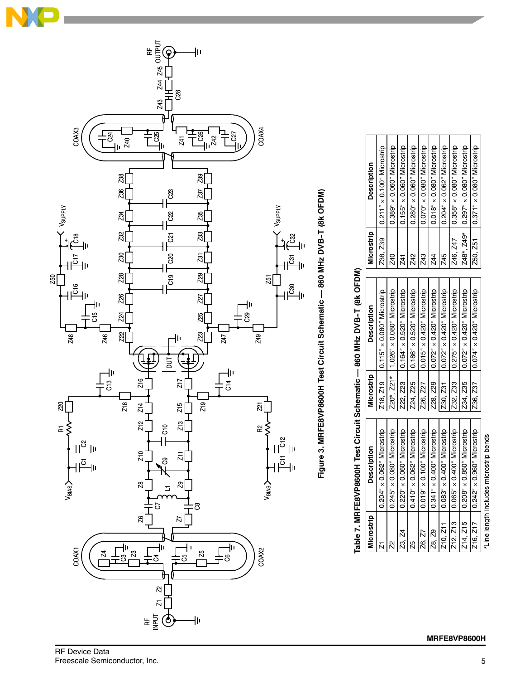

# Figure 3. MRFE8VP8600H Test Circuit Schematic -- 860 MHz DVB-T (8k OFDM) Figure 3. MRFE8VP8600H Test Circuit Schematic — 860 MHz DVB-T (8k OFDM)

# Table 7. MRFE8VP8600H Test Circuit Schematic -- 860 MHz DVB-T (8k OFDM) Table 7. MRFE8VP8600H Test Circuit Schematic — 860 MHz DVB-T (8k OFDM)

| <b>Microstrip</b> | <b>Description</b>                     | Microstrip | <b>Description</b>                      | Microstrip | <b>Description</b>                  |
|-------------------|----------------------------------------|------------|-----------------------------------------|------------|-------------------------------------|
| $\overline{N}$    | $0.204'' \times 0.062''$ Microstrip    |            | Z18, Z19   0.115" x 0.080" Microstrip   | Z38, Z39   | $0.211'' \times 0.100''$ Microstrip |
| Ŋ                 | $0.245'' \times 0.080''$ Microstrip    |            | Z20*, Z21*   1.026" × 0.080" Microstrip | Z40        | $0.389'' \times 0.060''$ Microstrip |
| Z3. Z4            | $0.220'' \times 0.060''$ Microstrip    | Z22, Z23   | 0.164" x 0.520" Microstrip              | 741        | $0.155'' \times 0.060''$ Microstrip |
| 25                | $0.410'' \times 0.062''$ Microstrip    | 224, 225   | $0.186'' \times 0.520''$ Microstrip     | Z42        | $0.280'' \times 0.060''$ Microstrip |
| Z6. Z7            | $0.019'' \times 0.100''$ Microstrip    | Z26. Z27   | $0.015'' \times 0.420''$ Microstrip     | Z43        | $0.070'' \times 0.080''$ Microstrip |
| Z8. Z9            | $0.341'' \times 0.400''$ Microstrip    | 228, 229   | $0.072'' \times 0.420''$ Microstrip     | Z44        | $0.018'' \times 0.080''$ Microstrip |
| 210, 211          | $0.083'' \times 0.400''$ Microstrip    | 230, 231   | $0.072'' \times 0.420''$ Microstrip     | Z45        | $0.204'' \times 0.062''$ Microstrip |
| Z12, Z13          | $0.065'' \times 0.400''$ Microstrip    | Z32, Z33   | $0.275'' \times 0.420''$ Microstrip     | Z46, Z47   | $0.358'' \times 0.080''$ Microstrip |
| Z14, Z15          | 0.208" × 0.850" Microstrip             | 234, 235   | 0.072" × 0.420" Microstrip              | Z48*, Z49* | $0.297'' \times 0.080''$ Microstrip |
|                   | Z16, Z17   0.242" x 0.960" Microstrip  | Z36, Z37   | $ 0.074" \times 0.420"$ Microstrip      | 250, 251   | $0.371'' \times 0.080''$ Microstrip |
|                   | *Line length includes microstrip bends |            |                                         |            |                                     |

RF Device Data<br>Freescale Semiconductor, Inc.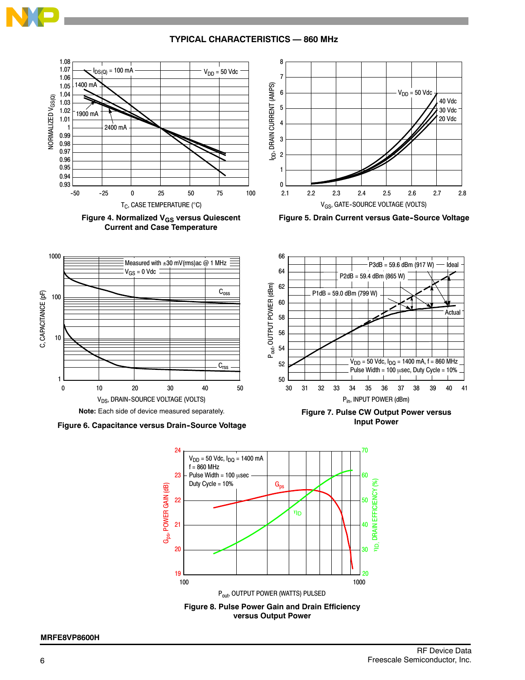

### **TYPICAL CHARACTERISTICS — 860 MHz**







**Figure 5. Drain Current versus Gate-Source Voltage** 



**Figure 6. Capacitance versus Drain--Source Voltage**



**Figure 7. Pulse CW Output Power versus Input Power**

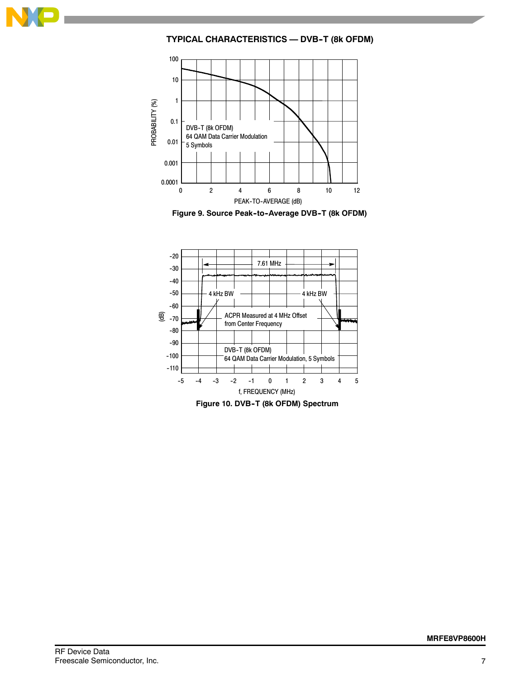

**TYPICAL CHARACTERISTICS — DVB--T (8k OFDM)**



Figure 9. Source Peak-to-Average DVB-T (8k OFDM)



**Figure 10. DVB--T (8k OFDM) Spectrum**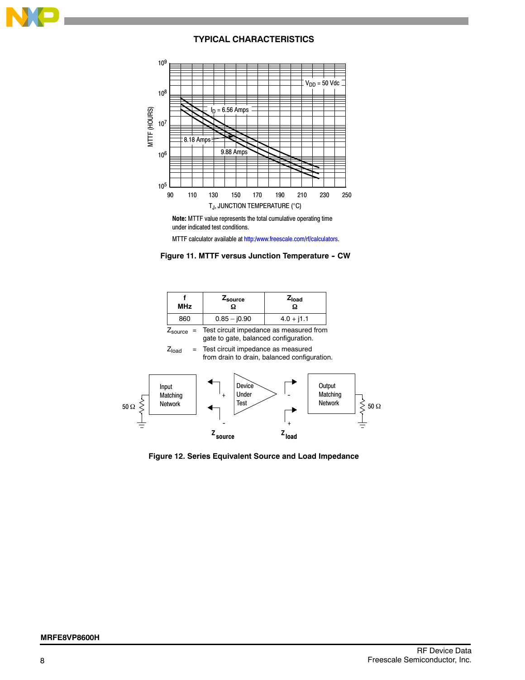

### **TYPICAL CHARACTERISTICS**



**Note:** MTTF value represents the total cumulative operating time under indicated test conditions.

MTTF calculator available at http:/www.freescale.com/rf/calculators.



| <b>MHz</b>            | Zsource       | z <sub>load</sub>                       |
|-----------------------|---------------|-----------------------------------------|
| 860                   | $0.85 - 0.90$ | $4.0 + j1.1$                            |
| $Z_{\text{source}}$ = |               | Test circuit impedance as measured from |

gate to gate, balanced configuration.

 $Z<sub>load</sub>$  = Test circuit impedance as measured from drain to drain, balanced configuration.



**Figure 12. Series Equivalent Source and Load Impedance**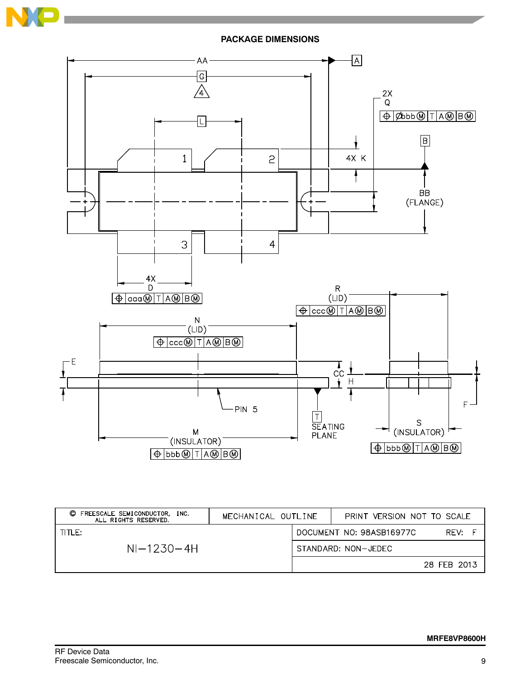



| O<br>FREESCALE SEMICONDUCTOR,<br>INC.<br>ALL RIGHTS RESERVED. | MECHANICAL OUTLINE | PRINT VERSION NOT TO SCALE |             |
|---------------------------------------------------------------|--------------------|----------------------------|-------------|
| TITLE:                                                        |                    | DOCUMENT NO: 98ASB16977C   | RFV:        |
| $NI-1230-4H$                                                  |                    | STANDARD: NON-JEDEC        |             |
|                                                               |                    |                            | 28 FEB 2013 |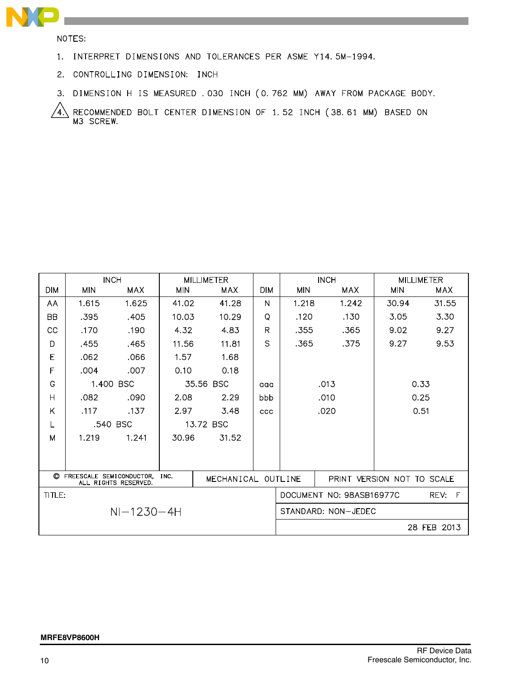

NOTES:

- 1. INTERPRET DIMENSIONS AND TOLERANCES PER ASME Y14.5M-1994.
- 2. CONTROLLING DIMENSION: INCH
- 3. DIMENSION H IS MEASURED . 030 INCH (0.762 MM) AWAY FROM PACKAGE BODY.

RECOMMENDED BOLT CENTER DIMENSION OF 1.52 INCH (38.61 MM) BASED ON<br>M3 SCREW. 4.

|                                                               | <b>INCH</b> |            | <b>MILLIMETER</b> |                    |              |                            | <b>INCH</b>                        | <b>MILLIMETER</b> |            |  |
|---------------------------------------------------------------|-------------|------------|-------------------|--------------------|--------------|----------------------------|------------------------------------|-------------------|------------|--|
| <b>DIM</b>                                                    | <b>MIN</b>  | <b>MAX</b> | <b>MIN</b>        | <b>MAX</b>         | <b>DIM</b>   | <b>MIN</b>                 | <b>MAX</b>                         | <b>MIN</b>        | <b>MAX</b> |  |
| AA                                                            | 1.615       | 1.625      | 41.02             | 41.28              | N            | 1.218                      | 1.242                              | 30.94             | 31.55      |  |
| <b>BB</b>                                                     | .395        | .405       | 10.03             | 10.29              | Q            | .120                       | .130                               | 3.05              | 3.30       |  |
| CC                                                            | .170        | .190       | 4.32              | 4.83               | $\mathsf{R}$ | .355                       | .365                               | 9.02              | 9.27       |  |
| D                                                             | .455        | .465       | 11.56             | 11.81              | S            | .365                       | .375                               | 9.27              | 9.53       |  |
| E                                                             | .062        | .066       | 1.57              | 1.68               |              |                            |                                    |                   |            |  |
| F                                                             | .004        | .007       | 0.10              | 0.18               |              |                            |                                    |                   |            |  |
| G                                                             | 1.400 BSC   |            | 35.56 BSC         |                    | aaa          |                            | .013                               | 0.33              |            |  |
| H                                                             | .082        | .090       | 2.08              | 2.29               | bbb          |                            | .010                               | 0.25              |            |  |
| K                                                             | .117        | .137       | 2.97              | 3.48               | CCC          |                            | .020                               | 0.51              |            |  |
| L                                                             | .540 BSC    |            | 13.72 BSC         |                    |              |                            |                                    |                   |            |  |
| M                                                             | 1.219       | 1.241      | 30.96             | 31.52              |              |                            |                                    |                   |            |  |
|                                                               |             |            |                   |                    |              |                            |                                    |                   |            |  |
|                                                               |             |            |                   |                    |              |                            |                                    |                   |            |  |
| ◎<br>FREESCALE SEMICONDUCTOR,<br>INC.<br>ALL RIGHTS RESERVED. |             |            |                   | MECHANICAL OUTLINE |              | PRINT VERSION NOT TO SCALE |                                    |                   |            |  |
| TITLE:                                                        |             |            |                   |                    |              |                            | DOCUMENT NO: 98ASB16977C<br>REV: F |                   |            |  |
| $NI-1230-4H$                                                  |             |            |                   |                    |              | STANDARD: NON-JEDEC        |                                    |                   |            |  |
|                                                               |             |            |                   |                    |              |                            | 28 FEB 2013                        |                   |            |  |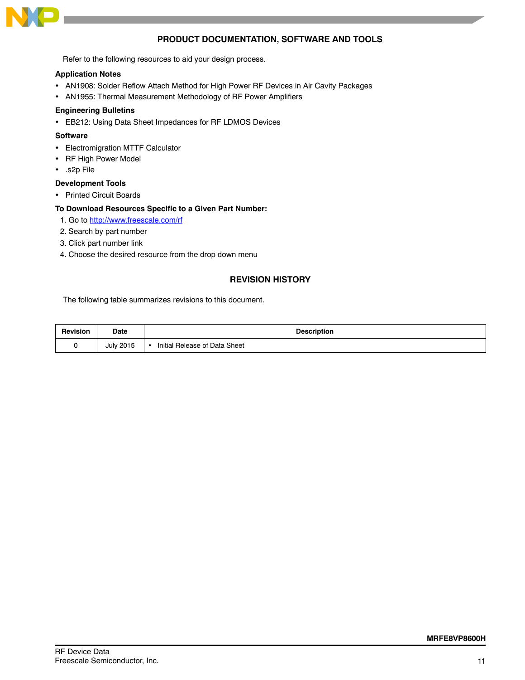

### **PRODUCT DOCUMENTATION, SOFTWARE AND TOOLS**

Refer to the following resources to aid your design process.

### **Application Notes**

- AN1908: Solder Reflow Attach Method for High Power RF Devices in Air Cavity Packages
- AN1955: Thermal Measurement Methodology of RF Power Amplifiers

### **Engineering Bulletins**

EB212: Using Data Sheet Impedances for RF LDMOS Devices

### **Software**

- Electromigration MTTF Calculator
- RF High Power Model
- .s2p File

### **Development Tools**

• Printed Circuit Boards

### **To Download Resources Specific to a Given Part Number:**

- 1. Go to http://www.freescale.com/rf
- 2. Search by part number
- 3. Click part number link
- 4. Choose the desired resource from the drop down menu

### **REVISION HISTORY**

The following table summarizes revisions to this document.

| <b>Revision</b> | <b>Date</b>      | <b>Description</b>            |
|-----------------|------------------|-------------------------------|
|                 | <b>July 2015</b> | Initial Release of Data Sheet |